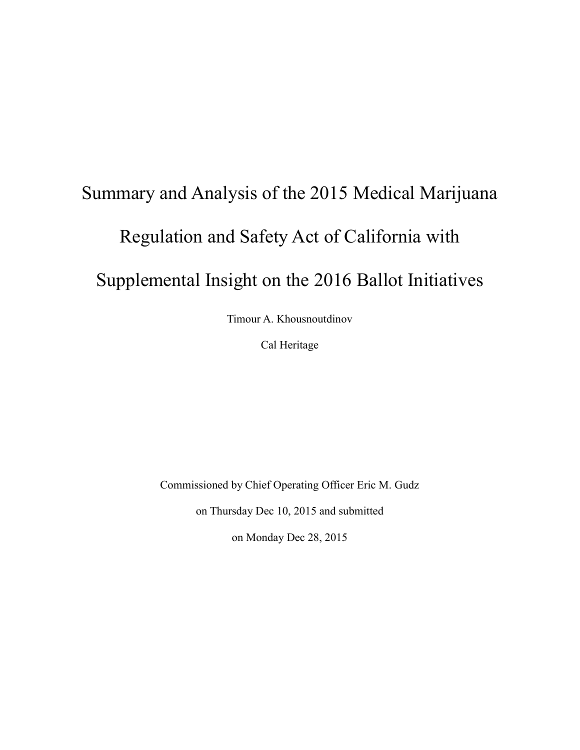# Summary and Analysis of the 2015 Medical Marijuana Regulation and Safety Act of California with Supplemental Insight on the 2016 Ballot Initiatives

Timour A. Khousnoutdinov

Cal Heritage

Commissioned by Chief Operating Officer Eric M. Gudz

on Thursday Dec 10, 2015 and submitted

on Monday Dec 28, 2015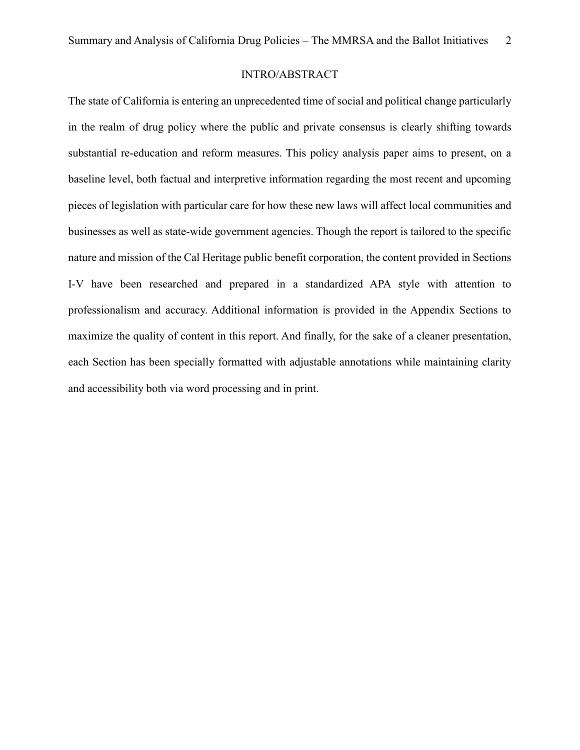#### INTRO/ABSTRACT

The state of California is entering an unprecedented time of social and political change particularly in the realm of drug policy where the public and private consensus is clearly shifting towards substantial re-education and reform measures. This policy analysis paper aims to present, on a baseline level, both factual and interpretive information regarding the most recent and upcoming pieces of legislation with particular care for how these new laws will affect local communities and businesses as well as state-wide government agencies. Though the report is tailored to the specific nature and mission of the Cal Heritage public benefit corporation, the content provided in Sections I-V have been researched and prepared in a standardized APA style with attention to professionalism and accuracy. Additional information is provided in the Appendix Sections to maximize the quality of content in this report. And finally, for the sake of a cleaner presentation, each Section has been specially formatted with adjustable annotations while maintaining clarity and accessibility both via word processing and in print.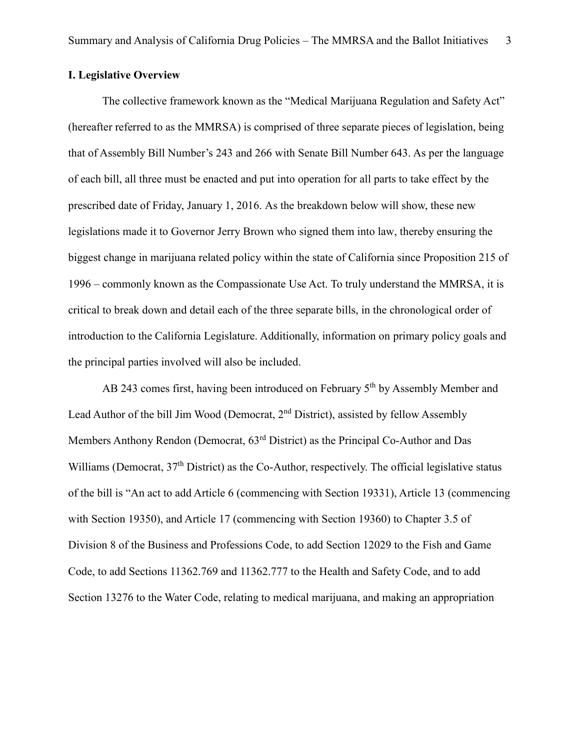#### **I. Legislative Overview**

The collective framework known as the "Medical Marijuana Regulation and Safety Act" (hereafter referred to as the MMRSA) is comprised of three separate pieces of legislation, being that of Assembly Bill Number's 243 and 266 with Senate Bill Number 643. As per the language of each bill, all three must be enacted and put into operation for all parts to take effect by the prescribed date of Friday, January 1, 2016. As the breakdown below will show, these new legislations made it to Governor Jerry Brown who signed them into law, thereby ensuring the biggest change in marijuana related policy within the state of California since Proposition 215 of 1996 – commonly known as the Compassionate Use Act. To truly understand the MMRSA, it is critical to break down and detail each of the three separate bills, in the chronological order of introduction to the California Legislature. Additionally, information on primary policy goals and the principal parties involved will also be included.

AB 243 comes first, having been introduced on February 5<sup>th</sup> by Assembly Member and Lead Author of the bill Jim Wood (Democrat, 2<sup>nd</sup> District), assisted by fellow Assembly Members Anthony Rendon (Democrat, 63rd District) as the Principal Co-Author and Das Williams (Democrat,  $37<sup>th</sup>$  District) as the Co-Author, respectively. The official legislative status of the bill is "An act to add Article 6 (commencing with Section 19331), Article 13 (commencing with Section 19350), and Article 17 (commencing with Section 19360) to Chapter 3.5 of Division 8 of the Business and Professions Code, to add Section 12029 to the Fish and Game Code, to add Sections 11362.769 and 11362.777 to the Health and Safety Code, and to add Section 13276 to the Water Code, relating to medical marijuana, and making an appropriation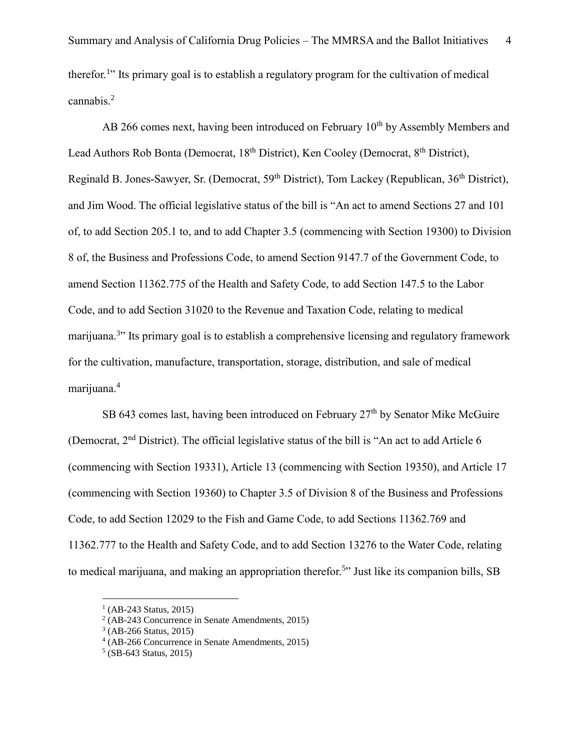AB 266 comes next, having been introduced on February  $10<sup>th</sup>$  by Assembly Members and Lead Authors Rob Bonta (Democrat, 18<sup>th</sup> District), Ken Cooley (Democrat, 8<sup>th</sup> District), Reginald B. Jones-Sawyer, Sr. (Democrat, 59th District), Tom Lackey (Republican, 36th District), and Jim Wood. The official legislative status of the bill is "An act to amend Sections 27 and 101 of, to add Section 205.1 to, and to add Chapter 3.5 (commencing with Section 19300) to Division 8 of, the Business and Professions Code, to amend Section 9147.7 of the Government Code, to amend Section 11362.775 of the Health and Safety Code, to add Section 147.5 to the Labor Code, and to add Section 31020 to the Revenue and Taxation Code, relating to medical marijuana.<sup>3</sup>" Its primary goal is to establish a comprehensive licensing and regulatory framework for the cultivation, manufacture, transportation, storage, distribution, and sale of medical marijuana.<sup>4</sup>

SB 643 comes last, having been introduced on February 27<sup>th</sup> by Senator Mike McGuire (Democrat, 2nd District). The official legislative status of the bill is "An act to add Article 6 (commencing with Section 19331), Article 13 (commencing with Section 19350), and Article 17 (commencing with Section 19360) to Chapter 3.5 of Division 8 of the Business and Professions Code, to add Section 12029 to the Fish and Game Code, to add Sections 11362.769 and 11362.777 to the Health and Safety Code, and to add Section 13276 to the Water Code, relating to medical marijuana, and making an appropriation therefor.<sup>5</sup>" Just like its companion bills, SB

<sup>&</sup>lt;sup>1</sup> (AB-243 Status, 2015)

<sup>2</sup> (AB-243 Concurrence in Senate Amendments, 2015)

<sup>3</sup> (AB-266 Status, 2015)

<sup>4</sup> (AB-266 Concurrence in Senate Amendments, 2015)

<sup>5</sup> (SB-643 Status, 2015)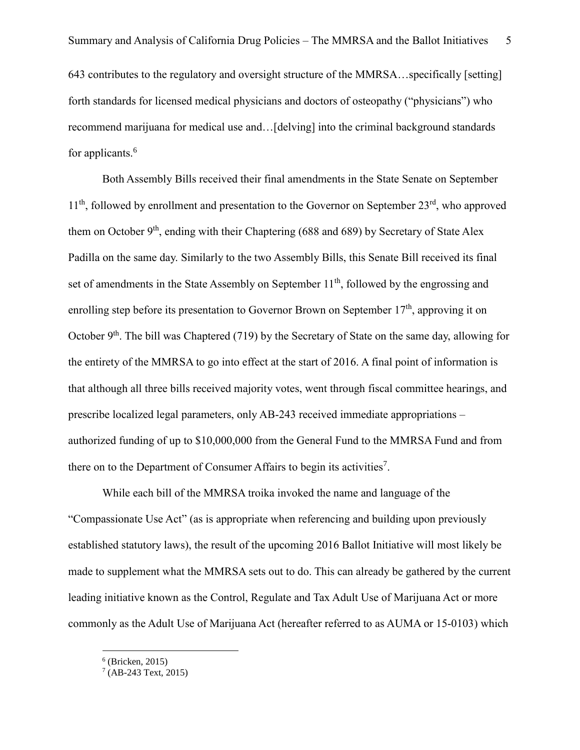643 contributes to the regulatory and oversight structure of the MMRSA…specifically [setting] forth standards for licensed medical physicians and doctors of osteopathy ("physicians") who recommend marijuana for medical use and…[delving] into the criminal background standards for applicants.<sup>6</sup>

Both Assembly Bills received their final amendments in the State Senate on September  $11<sup>th</sup>$ , followed by enrollment and presentation to the Governor on September  $23<sup>rd</sup>$ , who approved them on October  $9<sup>th</sup>$ , ending with their Chaptering (688 and 689) by Secretary of State Alex Padilla on the same day. Similarly to the two Assembly Bills, this Senate Bill received its final set of amendments in the State Assembly on September 11<sup>th</sup>, followed by the engrossing and enrolling step before its presentation to Governor Brown on September  $17<sup>th</sup>$ , approving it on October 9<sup>th</sup>. The bill was Chaptered (719) by the Secretary of State on the same day, allowing for the entirety of the MMRSA to go into effect at the start of 2016. A final point of information is that although all three bills received majority votes, went through fiscal committee hearings, and prescribe localized legal parameters, only AB-243 received immediate appropriations – authorized funding of up to \$10,000,000 from the General Fund to the MMRSA Fund and from there on to the Department of Consumer Affairs to begin its activities<sup>7</sup>.

While each bill of the MMRSA troika invoked the name and language of the "Compassionate Use Act" (as is appropriate when referencing and building upon previously established statutory laws), the result of the upcoming 2016 Ballot Initiative will most likely be made to supplement what the MMRSA sets out to do. This can already be gathered by the current leading initiative known as the Control, Regulate and Tax Adult Use of Marijuana Act or more commonly as the Adult Use of Marijuana Act (hereafter referred to as AUMA or 15-0103) which

<sup>6</sup> (Bricken, 2015)

 $7$  (AB-243 Text, 2015)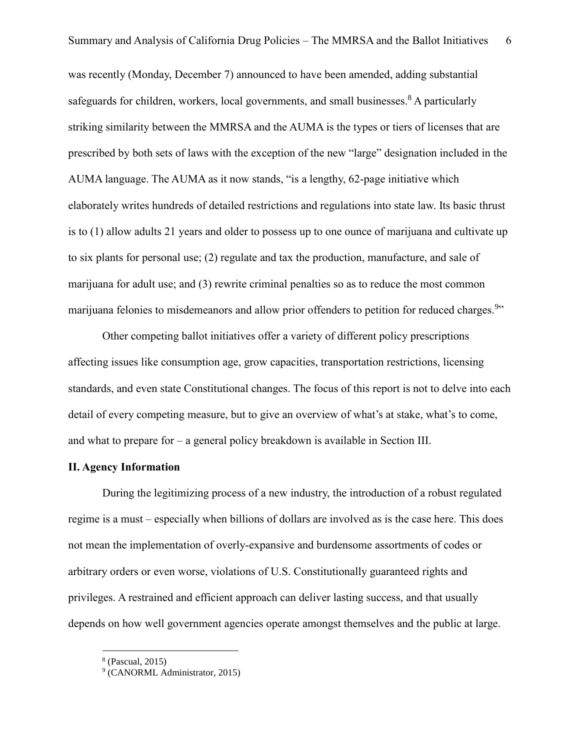was recently (Monday, December 7) announced to have been amended, adding substantial safeguards for children, workers, local governments, and small businesses.<sup>8</sup> A particularly striking similarity between the MMRSA and the AUMA is the types or tiers of licenses that are prescribed by both sets of laws with the exception of the new "large" designation included in the AUMA language. The AUMA as it now stands, "is a lengthy, 62-page initiative which elaborately writes hundreds of detailed restrictions and regulations into state law. Its basic thrust is to (1) allow adults 21 years and older to possess up to one ounce of marijuana and cultivate up to six plants for personal use; (2) regulate and tax the production, manufacture, and sale of marijuana for adult use; and (3) rewrite criminal penalties so as to reduce the most common marijuana felonies to misdemeanors and allow prior offenders to petition for reduced charges.<sup>9</sup>"

Other competing ballot initiatives offer a variety of different policy prescriptions affecting issues like consumption age, grow capacities, transportation restrictions, licensing standards, and even state Constitutional changes. The focus of this report is not to delve into each detail of every competing measure, but to give an overview of what's at stake, what's to come, and what to prepare for – a general policy breakdown is available in Section III.

#### **II. Agency Information**

During the legitimizing process of a new industry, the introduction of a robust regulated regime is a must – especially when billions of dollars are involved as is the case here. This does not mean the implementation of overly-expansive and burdensome assortments of codes or arbitrary orders or even worse, violations of U.S. Constitutionally guaranteed rights and privileges. A restrained and efficient approach can deliver lasting success, and that usually depends on how well government agencies operate amongst themselves and the public at large.

<sup>8</sup> (Pascual, 2015)

<sup>&</sup>lt;sup>9</sup> (CANORML Administrator, 2015)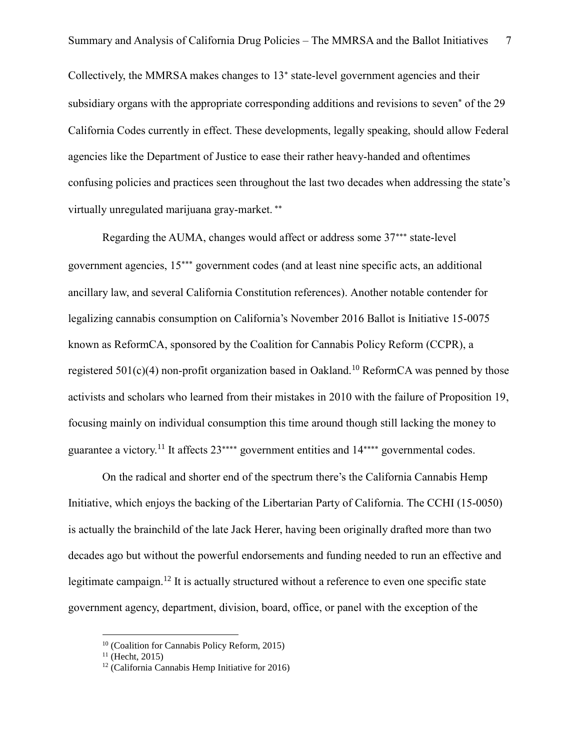Collectively, the MMRSA makes changes to 13 state-level government agencies and their subsidiary organs with the appropriate corresponding additions and revisions to seven<sup>\*</sup> of the 29 California Codes currently in effect. These developments, legally speaking, should allow Federal agencies like the Department of Justice to ease their rather heavy-handed and oftentimes confusing policies and practices seen throughout the last two decades when addressing the state's virtually unregulated marijuana gray-market.

Regarding the AUMA, changes would affect or address some 37\*\*\* state-level government agencies,  $15***$  government codes (and at least nine specific acts, an additional ancillary law, and several California Constitution references). Another notable contender for legalizing cannabis consumption on California's November 2016 Ballot is Initiative 15-0075 known as ReformCA, sponsored by the Coalition for Cannabis Policy Reform (CCPR), a registered  $501(c)(4)$  non-profit organization based in Oakland.<sup>10</sup> ReformCA was penned by those activists and scholars who learned from their mistakes in 2010 with the failure of Proposition 19, focusing mainly on individual consumption this time around though still lacking the money to guarantee a victory.<sup>11</sup> It affects  $23***$  government entities and  $14***$  governmental codes.

On the radical and shorter end of the spectrum there's the California Cannabis Hemp Initiative, which enjoys the backing of the Libertarian Party of California. The CCHI (15-0050) is actually the brainchild of the late Jack Herer, having been originally drafted more than two decades ago but without the powerful endorsements and funding needed to run an effective and legitimate campaign.<sup>12</sup> It is actually structured without a reference to even one specific state government agency, department, division, board, office, or panel with the exception of the

<sup>10</sup> (Coalition for Cannabis Policy Reform, 2015)

 $11$  (Hecht, 2015)

 $12$  (California Cannabis Hemp Initiative for 2016)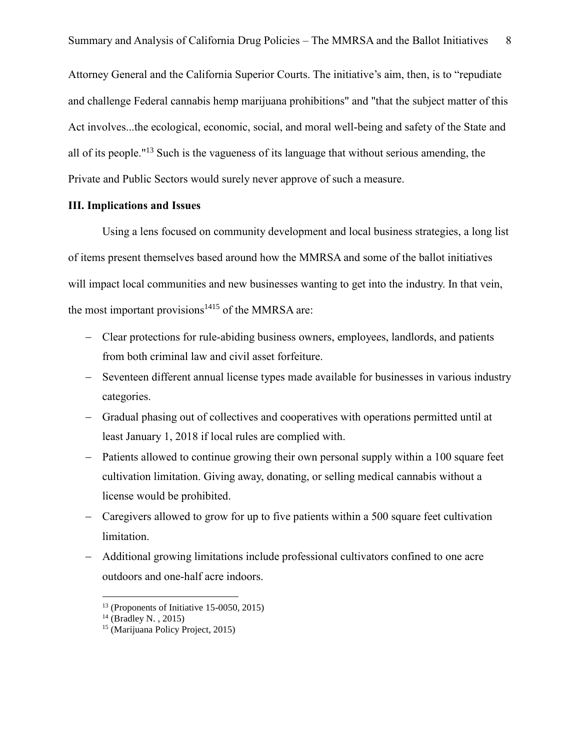Attorney General and the California Superior Courts. The initiative's aim, then, is to "repudiate and challenge Federal cannabis hemp marijuana prohibitions" and "that the subject matter of this Act involves...the ecological, economic, social, and moral well-being and safety of the State and all of its people."<sup>13</sup> Such is the vagueness of its language that without serious amending, the Private and Public Sectors would surely never approve of such a measure.

#### **III. Implications and Issues**

Using a lens focused on community development and local business strategies, a long list of items present themselves based around how the MMRSA and some of the ballot initiatives will impact local communities and new businesses wanting to get into the industry. In that vein, the most important provisions $1415$  of the MMRSA are:

- Clear protections for rule-abiding business owners, employees, landlords, and patients from both criminal law and civil asset forfeiture.
- Seventeen different annual license types made available for businesses in various industry categories.
- Gradual phasing out of collectives and cooperatives with operations permitted until at least January 1, 2018 if local rules are complied with.
- Patients allowed to continue growing their own personal supply within a 100 square feet cultivation limitation. Giving away, donating, or selling medical cannabis without a license would be prohibited.
- Caregivers allowed to grow for up to five patients within a 500 square feet cultivation limitation.
- Additional growing limitations include professional cultivators confined to one acre outdoors and one-half acre indoors.

 $13$  (Proponents of Initiative 15-0050, 2015)

 $14$  (Bradley N., 2015)

<sup>15</sup> (Marijuana Policy Project, 2015)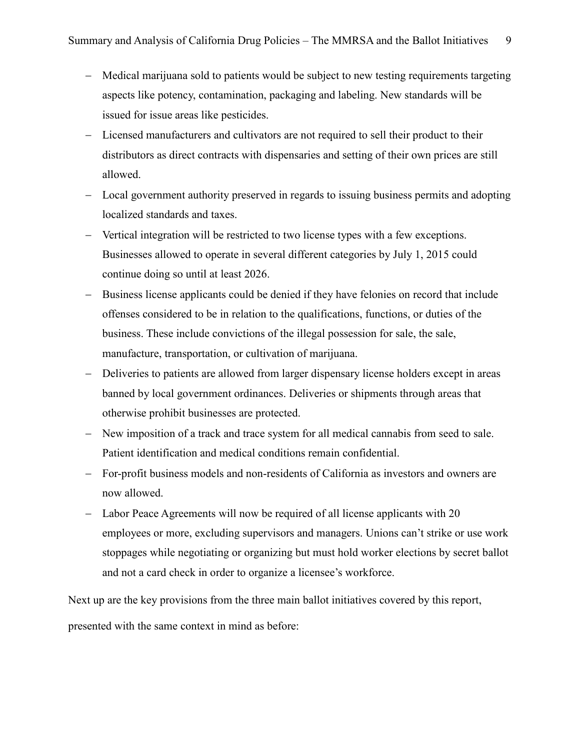- Medical marijuana sold to patients would be subject to new testing requirements targeting aspects like potency, contamination, packaging and labeling. New standards will be issued for issue areas like pesticides.
- Licensed manufacturers and cultivators are not required to sell their product to their distributors as direct contracts with dispensaries and setting of their own prices are still allowed.
- Local government authority preserved in regards to issuing business permits and adopting localized standards and taxes.
- Vertical integration will be restricted to two license types with a few exceptions. Businesses allowed to operate in several different categories by July 1, 2015 could continue doing so until at least 2026.
- Business license applicants could be denied if they have felonies on record that include offenses considered to be in relation to the qualifications, functions, or duties of the business. These include convictions of the illegal possession for sale, the sale, manufacture, transportation, or cultivation of marijuana.
- Deliveries to patients are allowed from larger dispensary license holders except in areas banned by local government ordinances. Deliveries or shipments through areas that otherwise prohibit businesses are protected.
- New imposition of a track and trace system for all medical cannabis from seed to sale. Patient identification and medical conditions remain confidential.
- For-profit business models and non-residents of California as investors and owners are now allowed.
- Labor Peace Agreements will now be required of all license applicants with 20 employees or more, excluding supervisors and managers. Unions can't strike or use work stoppages while negotiating or organizing but must hold worker elections by secret ballot and not a card check in order to organize a licensee's workforce.

Next up are the key provisions from the three main ballot initiatives covered by this report,

presented with the same context in mind as before: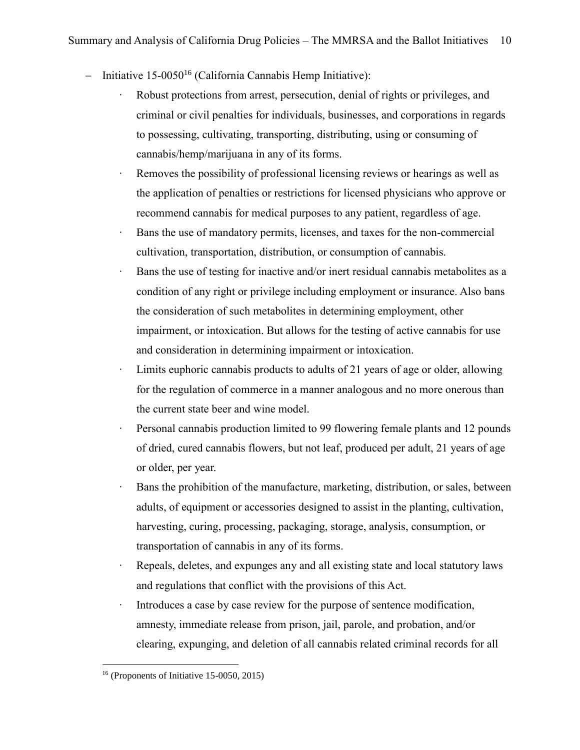- $-$  Initiative 15-0050<sup>16</sup> (California Cannabis Hemp Initiative):
	- Robust protections from arrest, persecution, denial of rights or privileges, and criminal or civil penalties for individuals, businesses, and corporations in regards to possessing, cultivating, transporting, distributing, using or consuming of cannabis/hemp/marijuana in any of its forms.
	- ∙ Removes the possibility of professional licensing reviews or hearings as well as the application of penalties or restrictions for licensed physicians who approve or recommend cannabis for medical purposes to any patient, regardless of age.
	- ∙ Bans the use of mandatory permits, licenses, and taxes for the non-commercial cultivation, transportation, distribution, or consumption of cannabis.
	- Bans the use of testing for inactive and/or inert residual cannabis metabolites as a condition of any right or privilege including employment or insurance. Also bans the consideration of such metabolites in determining employment, other impairment, or intoxication. But allows for the testing of active cannabis for use and consideration in determining impairment or intoxication.
	- ∙ Limits euphoric cannabis products to adults of 21 years of age or older, allowing for the regulation of commerce in a manner analogous and no more onerous than the current state beer and wine model.
	- ∙ Personal cannabis production limited to 99 flowering female plants and 12 pounds of dried, cured cannabis flowers, but not leaf, produced per adult, 21 years of age or older, per year.
	- ∙ Bans the prohibition of the manufacture, marketing, distribution, or sales, between adults, of equipment or accessories designed to assist in the planting, cultivation, harvesting, curing, processing, packaging, storage, analysis, consumption, or transportation of cannabis in any of its forms.
	- ∙ Repeals, deletes, and expunges any and all existing state and local statutory laws and regulations that conflict with the provisions of this Act.
	- ∙ Introduces a case by case review for the purpose of sentence modification, amnesty, immediate release from prison, jail, parole, and probation, and/or clearing, expunging, and deletion of all cannabis related criminal records for all

 $16$  (Proponents of Initiative 15-0050, 2015)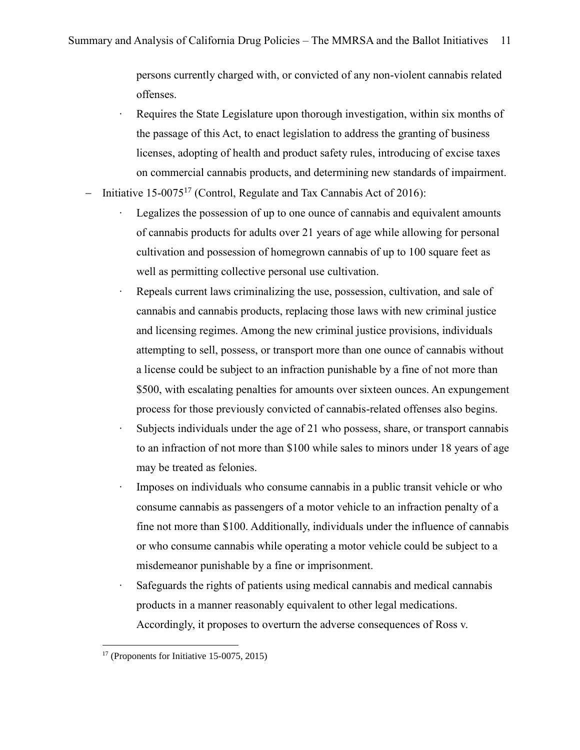persons currently charged with, or convicted of any non-violent cannabis related offenses.

- ∙ Requires the State Legislature upon thorough investigation, within six months of the passage of this Act, to enact legislation to address the granting of business licenses, adopting of health and product safety rules, introducing of excise taxes on commercial cannabis products, and determining new standards of impairment.
- Initiative  $15{\text -}0075^{17}$  (Control, Regulate and Tax Cannabis Act of 2016):
	- ∙ Legalizes the possession of up to one ounce of cannabis and equivalent amounts of cannabis products for adults over 21 years of age while allowing for personal cultivation and possession of homegrown cannabis of up to 100 square feet as well as permitting collective personal use cultivation.
	- Repeals current laws criminalizing the use, possession, cultivation, and sale of cannabis and cannabis products, replacing those laws with new criminal justice and licensing regimes. Among the new criminal justice provisions, individuals attempting to sell, possess, or transport more than one ounce of cannabis without a license could be subject to an infraction punishable by a fine of not more than \$500, with escalating penalties for amounts over sixteen ounces. An expungement process for those previously convicted of cannabis-related offenses also begins.
	- Subjects individuals under the age of 21 who possess, share, or transport cannabis to an infraction of not more than \$100 while sales to minors under 18 years of age may be treated as felonies.
	- Imposes on individuals who consume cannabis in a public transit vehicle or who consume cannabis as passengers of a motor vehicle to an infraction penalty of a fine not more than \$100. Additionally, individuals under the influence of cannabis or who consume cannabis while operating a motor vehicle could be subject to a misdemeanor punishable by a fine or imprisonment.
	- Safeguards the rights of patients using medical cannabis and medical cannabis products in a manner reasonably equivalent to other legal medications. Accordingly, it proposes to overturn the adverse consequences of Ross v.

 $17$  (Proponents for Initiative 15-0075, 2015)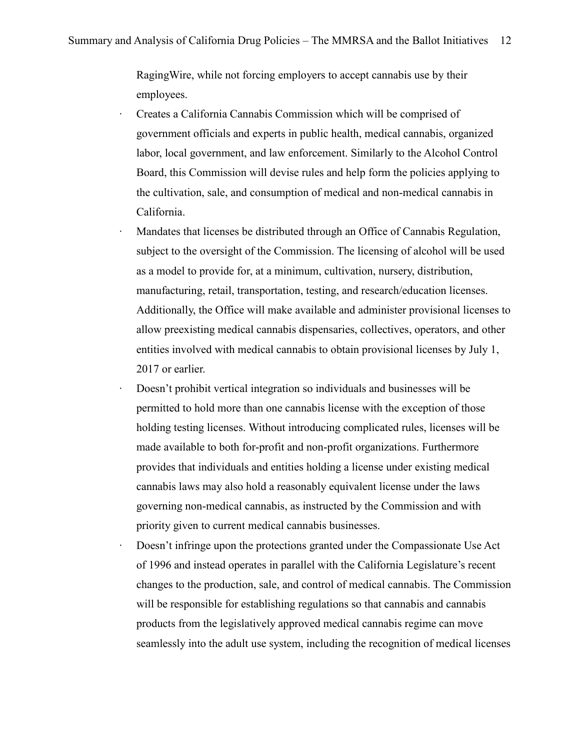RagingWire, while not forcing employers to accept cannabis use by their employees.

- ∙ Creates a California Cannabis Commission which will be comprised of government officials and experts in public health, medical cannabis, organized labor, local government, and law enforcement. Similarly to the Alcohol Control Board, this Commission will devise rules and help form the policies applying to the cultivation, sale, and consumption of medical and non-medical cannabis in California.
- ∙ Mandates that licenses be distributed through an Office of Cannabis Regulation, subject to the oversight of the Commission. The licensing of alcohol will be used as a model to provide for, at a minimum, cultivation, nursery, distribution, manufacturing, retail, transportation, testing, and research/education licenses. Additionally, the Office will make available and administer provisional licenses to allow preexisting medical cannabis dispensaries, collectives, operators, and other entities involved with medical cannabis to obtain provisional licenses by July 1, 2017 or earlier.
- ∙ Doesn't prohibit vertical integration so individuals and businesses will be permitted to hold more than one cannabis license with the exception of those holding testing licenses. Without introducing complicated rules, licenses will be made available to both for-profit and non-profit organizations. Furthermore provides that individuals and entities holding a license under existing medical cannabis laws may also hold a reasonably equivalent license under the laws governing non-medical cannabis, as instructed by the Commission and with priority given to current medical cannabis businesses.
- ∙ Doesn't infringe upon the protections granted under the Compassionate Use Act of 1996 and instead operates in parallel with the California Legislature's recent changes to the production, sale, and control of medical cannabis. The Commission will be responsible for establishing regulations so that cannabis and cannabis products from the legislatively approved medical cannabis regime can move seamlessly into the adult use system, including the recognition of medical licenses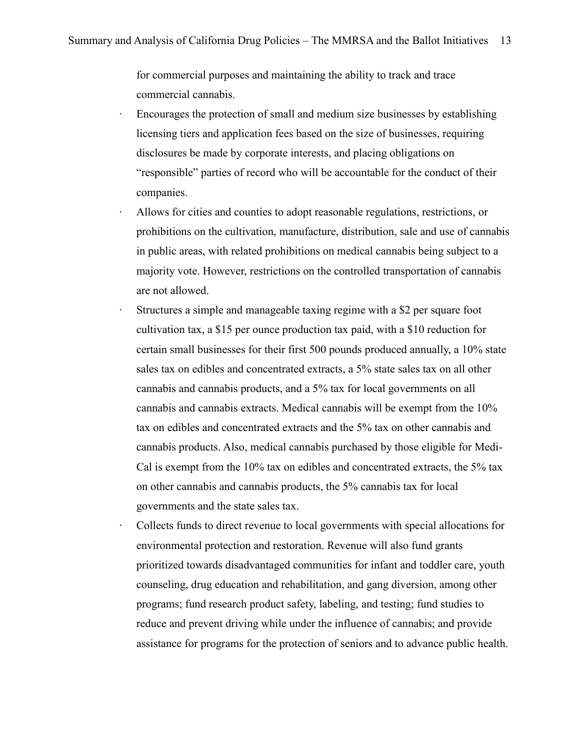for commercial purposes and maintaining the ability to track and trace commercial cannabis.

- ∙ Encourages the protection of small and medium size businesses by establishing licensing tiers and application fees based on the size of businesses, requiring disclosures be made by corporate interests, and placing obligations on "responsible" parties of record who will be accountable for the conduct of their companies.
- ∙ Allows for cities and counties to adopt reasonable regulations, restrictions, or prohibitions on the cultivation, manufacture, distribution, sale and use of cannabis in public areas, with related prohibitions on medical cannabis being subject to a majority vote. However, restrictions on the controlled transportation of cannabis are not allowed.
- ∙ Structures a simple and manageable taxing regime with a \$2 per square foot cultivation tax, a \$15 per ounce production tax paid, with a \$10 reduction for certain small businesses for their first 500 pounds produced annually, a 10% state sales tax on edibles and concentrated extracts, a 5% state sales tax on all other cannabis and cannabis products, and a 5% tax for local governments on all cannabis and cannabis extracts. Medical cannabis will be exempt from the 10% tax on edibles and concentrated extracts and the 5% tax on other cannabis and cannabis products. Also, medical cannabis purchased by those eligible for Medi-Cal is exempt from the 10% tax on edibles and concentrated extracts, the 5% tax on other cannabis and cannabis products, the 5% cannabis tax for local governments and the state sales tax.
- ∙ Collects funds to direct revenue to local governments with special allocations for environmental protection and restoration. Revenue will also fund grants prioritized towards disadvantaged communities for infant and toddler care, youth counseling, drug education and rehabilitation, and gang diversion, among other programs; fund research product safety, labeling, and testing; fund studies to reduce and prevent driving while under the influence of cannabis; and provide assistance for programs for the protection of seniors and to advance public health.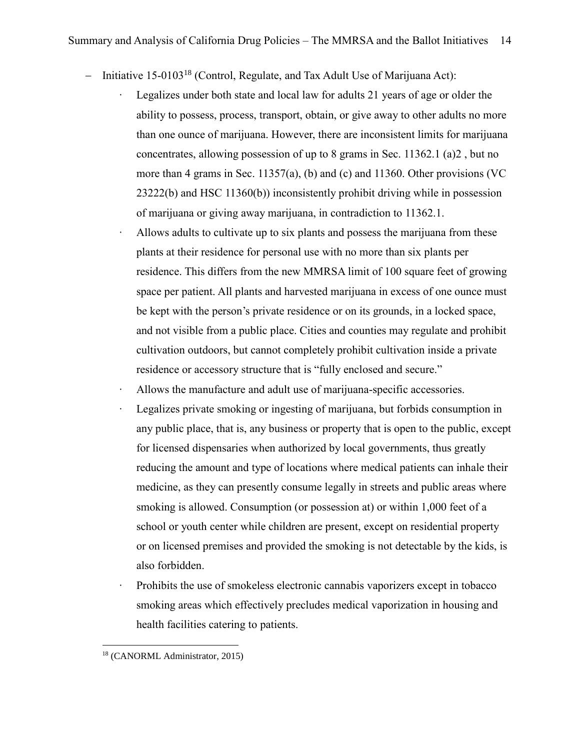- Initiative  $15{\text -}0103^{18}$  (Control, Regulate, and Tax Adult Use of Marijuana Act):
	- ∙ Legalizes under both state and local law for adults 21 years of age or older the ability to possess, process, transport, obtain, or give away to other adults no more than one ounce of marijuana. However, there are inconsistent limits for marijuana concentrates, allowing possession of up to 8 grams in Sec. 11362.1 (a)2 , but no more than 4 grams in Sec. 11357(a), (b) and (c) and 11360. Other provisions (VC 23222(b) and HSC 11360(b)) inconsistently prohibit driving while in possession of marijuana or giving away marijuana, in contradiction to 11362.1.
	- ∙ Allows adults to cultivate up to six plants and possess the marijuana from these plants at their residence for personal use with no more than six plants per residence. This differs from the new MMRSA limit of 100 square feet of growing space per patient. All plants and harvested marijuana in excess of one ounce must be kept with the person's private residence or on its grounds, in a locked space, and not visible from a public place. Cities and counties may regulate and prohibit cultivation outdoors, but cannot completely prohibit cultivation inside a private residence or accessory structure that is "fully enclosed and secure."
	- ∙ Allows the manufacture and adult use of marijuana-specific accessories.
	- ∙ Legalizes private smoking or ingesting of marijuana, but forbids consumption in any public place, that is, any business or property that is open to the public, except for licensed dispensaries when authorized by local governments, thus greatly reducing the amount and type of locations where medical patients can inhale their medicine, as they can presently consume legally in streets and public areas where smoking is allowed. Consumption (or possession at) or within 1,000 feet of a school or youth center while children are present, except on residential property or on licensed premises and provided the smoking is not detectable by the kids, is also forbidden.
	- ∙ Prohibits the use of smokeless electronic cannabis vaporizers except in tobacco smoking areas which effectively precludes medical vaporization in housing and health facilities catering to patients.

<sup>18</sup> (CANORML Administrator, 2015)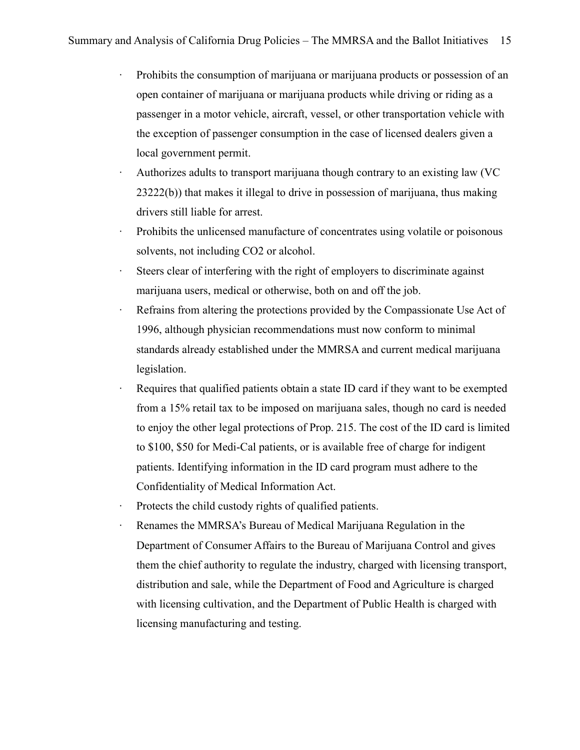- ∙ Prohibits the consumption of marijuana or marijuana products or possession of an open container of marijuana or marijuana products while driving or riding as a passenger in a motor vehicle, aircraft, vessel, or other transportation vehicle with the exception of passenger consumption in the case of licensed dealers given a local government permit.
- ∙ Authorizes adults to transport marijuana though contrary to an existing law (VC 23222(b)) that makes it illegal to drive in possession of marijuana, thus making drivers still liable for arrest.
- ∙ Prohibits the unlicensed manufacture of concentrates using volatile or poisonous solvents, not including CO2 or alcohol.
- Steers clear of interfering with the right of employers to discriminate against marijuana users, medical or otherwise, both on and off the job.
- Refrains from altering the protections provided by the Compassionate Use Act of 1996, although physician recommendations must now conform to minimal standards already established under the MMRSA and current medical marijuana legislation.
- ∙ Requires that qualified patients obtain a state ID card if they want to be exempted from a 15% retail tax to be imposed on marijuana sales, though no card is needed to enjoy the other legal protections of Prop. 215. The cost of the ID card is limited to \$100, \$50 for Medi-Cal patients, or is available free of charge for indigent patients. Identifying information in the ID card program must adhere to the Confidentiality of Medical Information Act.
- ∙ Protects the child custody rights of qualified patients.
- ∙ Renames the MMRSA's Bureau of Medical Marijuana Regulation in the Department of Consumer Affairs to the Bureau of Marijuana Control and gives them the chief authority to regulate the industry, charged with licensing transport, distribution and sale, while the Department of Food and Agriculture is charged with licensing cultivation, and the Department of Public Health is charged with licensing manufacturing and testing.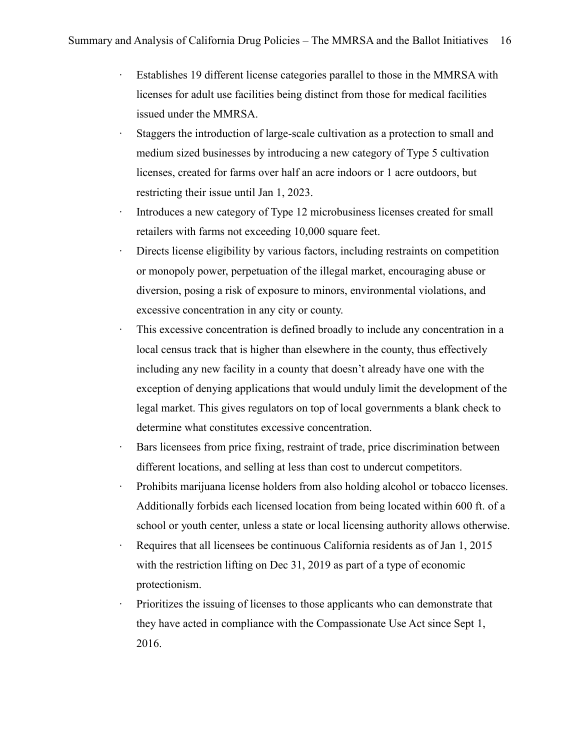- ∙ Establishes 19 different license categories parallel to those in the MMRSA with licenses for adult use facilities being distinct from those for medical facilities issued under the MMRSA.
- ∙ Staggers the introduction of large-scale cultivation as a protection to small and medium sized businesses by introducing a new category of Type 5 cultivation licenses, created for farms over half an acre indoors or 1 acre outdoors, but restricting their issue until Jan 1, 2023.
- ∙ Introduces a new category of Type 12 microbusiness licenses created for small retailers with farms not exceeding 10,000 square feet.
- ∙ Directs license eligibility by various factors, including restraints on competition or monopoly power, perpetuation of the illegal market, encouraging abuse or diversion, posing a risk of exposure to minors, environmental violations, and excessive concentration in any city or county.
- This excessive concentration is defined broadly to include any concentration in a local census track that is higher than elsewhere in the county, thus effectively including any new facility in a county that doesn't already have one with the exception of denying applications that would unduly limit the development of the legal market. This gives regulators on top of local governments a blank check to determine what constitutes excessive concentration.
- ∙ Bars licensees from price fixing, restraint of trade, price discrimination between different locations, and selling at less than cost to undercut competitors.
- ∙ Prohibits marijuana license holders from also holding alcohol or tobacco licenses. Additionally forbids each licensed location from being located within 600 ft. of a school or youth center, unless a state or local licensing authority allows otherwise.
- ∙ Requires that all licensees be continuous California residents as of Jan 1, 2015 with the restriction lifting on Dec 31, 2019 as part of a type of economic protectionism.
- ∙ Prioritizes the issuing of licenses to those applicants who can demonstrate that they have acted in compliance with the Compassionate Use Act since Sept 1, 2016.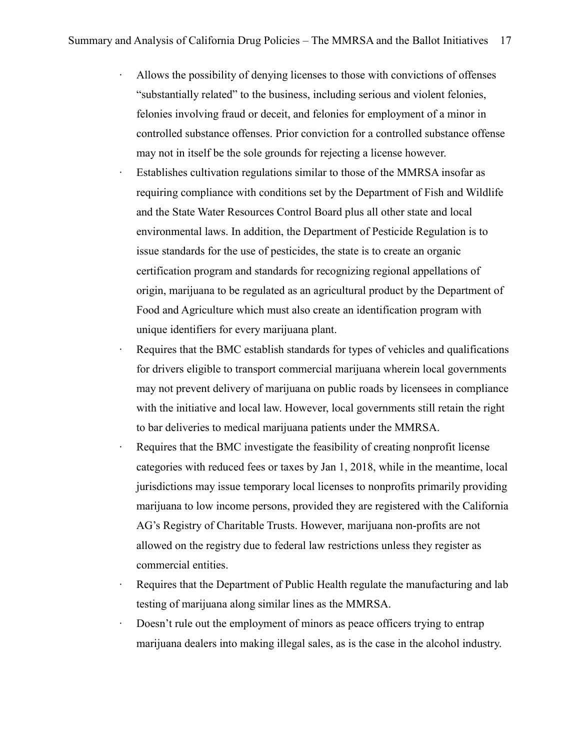- ∙ Allows the possibility of denying licenses to those with convictions of offenses "substantially related" to the business, including serious and violent felonies, felonies involving fraud or deceit, and felonies for employment of a minor in controlled substance offenses. Prior conviction for a controlled substance offense may not in itself be the sole grounds for rejecting a license however.
- Establishes cultivation regulations similar to those of the MMRSA insofar as requiring compliance with conditions set by the Department of Fish and Wildlife and the State Water Resources Control Board plus all other state and local environmental laws. In addition, the Department of Pesticide Regulation is to issue standards for the use of pesticides, the state is to create an organic certification program and standards for recognizing regional appellations of origin, marijuana to be regulated as an agricultural product by the Department of Food and Agriculture which must also create an identification program with unique identifiers for every marijuana plant.
- Requires that the BMC establish standards for types of vehicles and qualifications for drivers eligible to transport commercial marijuana wherein local governments may not prevent delivery of marijuana on public roads by licensees in compliance with the initiative and local law. However, local governments still retain the right to bar deliveries to medical marijuana patients under the MMRSA.
- Requires that the BMC investigate the feasibility of creating nonprofit license categories with reduced fees or taxes by Jan 1, 2018, while in the meantime, local jurisdictions may issue temporary local licenses to nonprofits primarily providing marijuana to low income persons, provided they are registered with the California AG's Registry of Charitable Trusts. However, marijuana non-profits are not allowed on the registry due to federal law restrictions unless they register as commercial entities.
- ∙ Requires that the Department of Public Health regulate the manufacturing and lab testing of marijuana along similar lines as the MMRSA.
- ∙ Doesn't rule out the employment of minors as peace officers trying to entrap marijuana dealers into making illegal sales, as is the case in the alcohol industry.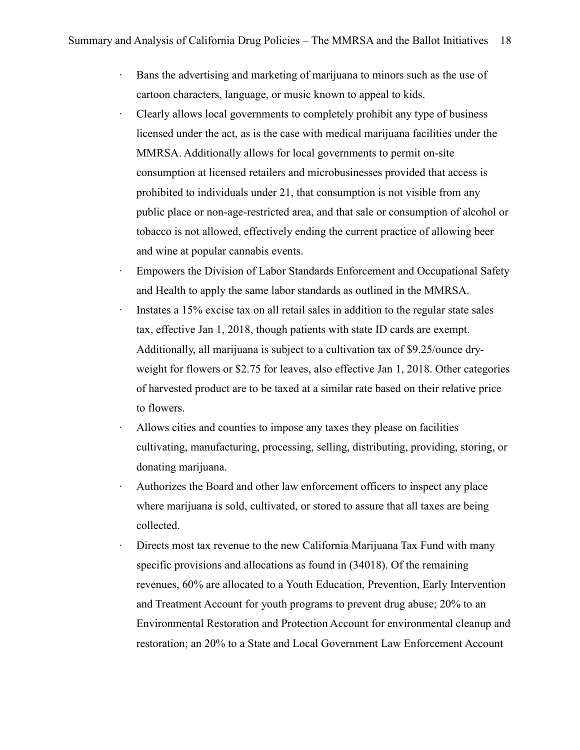- ∙ Bans the advertising and marketing of marijuana to minors such as the use of cartoon characters, language, or music known to appeal to kids.
- ∙ Clearly allows local governments to completely prohibit any type of business licensed under the act, as is the case with medical marijuana facilities under the MMRSA. Additionally allows for local governments to permit on-site consumption at licensed retailers and microbusinesses provided that access is prohibited to individuals under 21, that consumption is not visible from any public place or non-age-restricted area, and that sale or consumption of alcohol or tobacco is not allowed, effectively ending the current practice of allowing beer and wine at popular cannabis events.
- Empowers the Division of Labor Standards Enforcement and Occupational Safety and Health to apply the same labor standards as outlined in the MMRSA.
- ∙ Instates a 15% excise tax on all retail sales in addition to the regular state sales tax, effective Jan 1, 2018, though patients with state ID cards are exempt. Additionally, all marijuana is subject to a cultivation tax of \$9.25/ounce dryweight for flowers or \$2.75 for leaves, also effective Jan 1, 2018. Other categories of harvested product are to be taxed at a similar rate based on their relative price to flowers.
- ∙ Allows cities and counties to impose any taxes they please on facilities cultivating, manufacturing, processing, selling, distributing, providing, storing, or donating marijuana.
- ∙ Authorizes the Board and other law enforcement officers to inspect any place where marijuana is sold, cultivated, or stored to assure that all taxes are being collected.
- ∙ Directs most tax revenue to the new California Marijuana Tax Fund with many specific provisions and allocations as found in (34018). Of the remaining revenues, 60% are allocated to a Youth Education, Prevention, Early Intervention and Treatment Account for youth programs to prevent drug abuse; 20% to an Environmental Restoration and Protection Account for environmental cleanup and restoration; an 20% to a State and Local Government Law Enforcement Account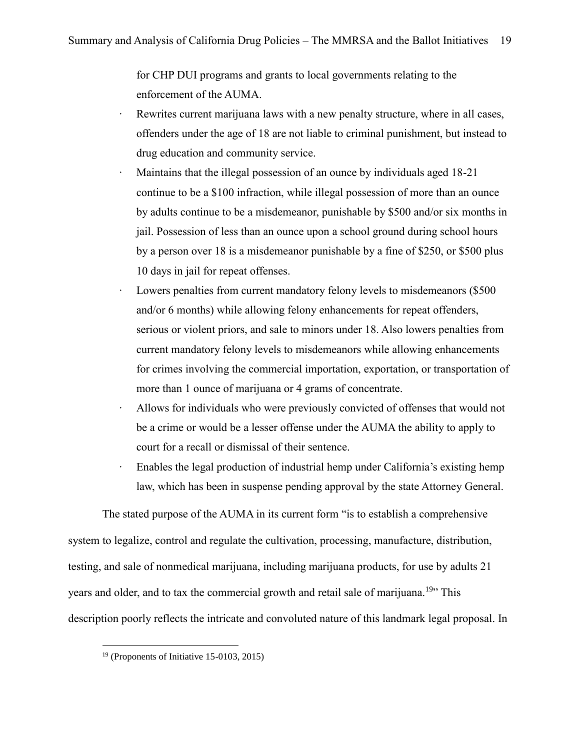for CHP DUI programs and grants to local governments relating to the enforcement of the AUMA.

- Rewrites current marijuana laws with a new penalty structure, where in all cases, offenders under the age of 18 are not liable to criminal punishment, but instead to drug education and community service.
- ∙ Maintains that the illegal possession of an ounce by individuals aged 18-21 continue to be a \$100 infraction, while illegal possession of more than an ounce by adults continue to be a misdemeanor, punishable by \$500 and/or six months in jail. Possession of less than an ounce upon a school ground during school hours by a person over 18 is a misdemeanor punishable by a fine of \$250, or \$500 plus 10 days in jail for repeat offenses.
- Lowers penalties from current mandatory felony levels to misdemeanors (\$500 and/or 6 months) while allowing felony enhancements for repeat offenders, serious or violent priors, and sale to minors under 18. Also lowers penalties from current mandatory felony levels to misdemeanors while allowing enhancements for crimes involving the commercial importation, exportation, or transportation of more than 1 ounce of marijuana or 4 grams of concentrate.
- ∙ Allows for individuals who were previously convicted of offenses that would not be a crime or would be a lesser offense under the AUMA the ability to apply to court for a recall or dismissal of their sentence.
- ∙ Enables the legal production of industrial hemp under California's existing hemp law, which has been in suspense pending approval by the state Attorney General.

The stated purpose of the AUMA in its current form "is to establish a comprehensive system to legalize, control and regulate the cultivation, processing, manufacture, distribution, testing, and sale of nonmedical marijuana, including marijuana products, for use by adults 21 years and older, and to tax the commercial growth and retail sale of marijuana.<sup>19</sup>" This description poorly reflects the intricate and convoluted nature of this landmark legal proposal. In

 $19$  (Proponents of Initiative 15-0103, 2015)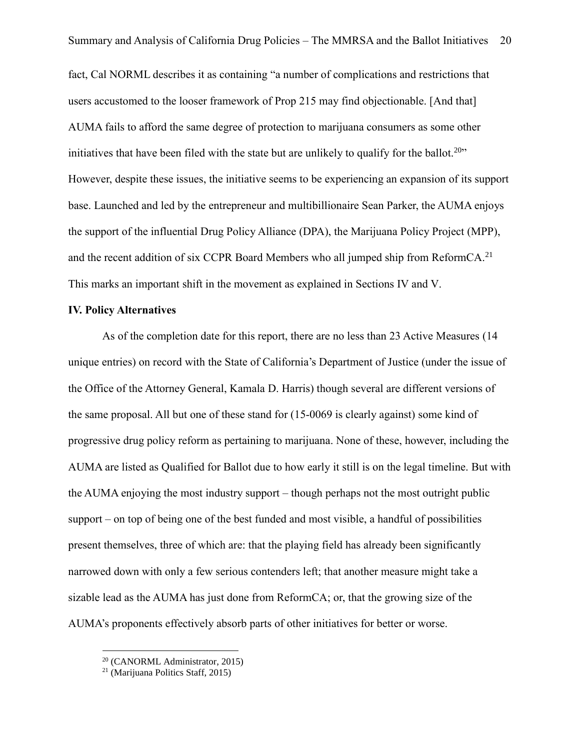fact, Cal NORML describes it as containing "a number of complications and restrictions that users accustomed to the looser framework of Prop 215 may find objectionable. [And that] AUMA fails to afford the same degree of protection to marijuana consumers as some other initiatives that have been filed with the state but are unlikely to qualify for the ballot.<sup>20</sup>  $\cdot$ However, despite these issues, the initiative seems to be experiencing an expansion of its support base. Launched and led by the entrepreneur and multibillionaire Sean Parker, the AUMA enjoys the support of the influential Drug Policy Alliance (DPA), the Marijuana Policy Project (MPP), and the recent addition of six CCPR Board Members who all jumped ship from ReformCA.<sup>21</sup> This marks an important shift in the movement as explained in Sections IV and V.

#### **IV. Policy Alternatives**

As of the completion date for this report, there are no less than 23 Active Measures (14 unique entries) on record with the State of California's Department of Justice (under the issue of the Office of the Attorney General, Kamala D. Harris) though several are different versions of the same proposal. All but one of these stand for (15-0069 is clearly against) some kind of progressive drug policy reform as pertaining to marijuana. None of these, however, including the AUMA are listed as Qualified for Ballot due to how early it still is on the legal timeline. But with the AUMA enjoying the most industry support – though perhaps not the most outright public support – on top of being one of the best funded and most visible, a handful of possibilities present themselves, three of which are: that the playing field has already been significantly narrowed down with only a few serious contenders left; that another measure might take a sizable lead as the AUMA has just done from ReformCA; or, that the growing size of the AUMA's proponents effectively absorb parts of other initiatives for better or worse.

<sup>20</sup> (CANORML Administrator, 2015)

 $21$  (Marijuana Politics Staff, 2015)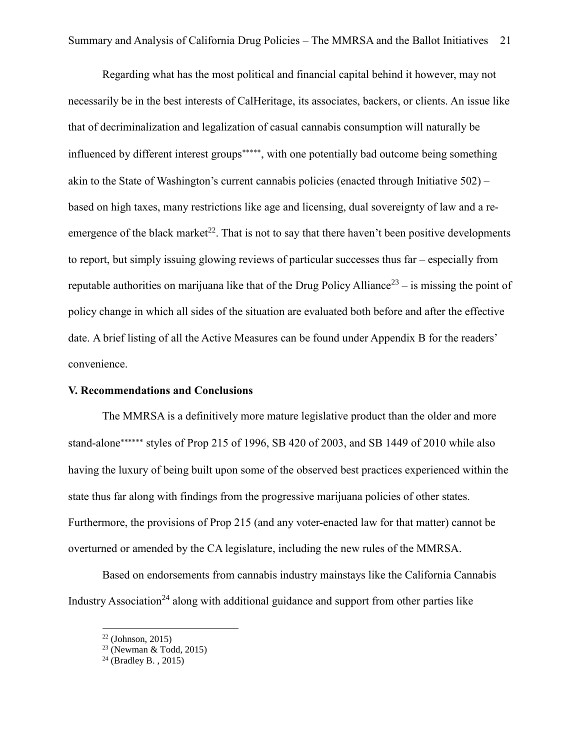Regarding what has the most political and financial capital behind it however, may not necessarily be in the best interests of CalHeritage, its associates, backers, or clients. An issue like that of decriminalization and legalization of casual cannabis consumption will naturally be influenced by different interest groups\*\*\*\*\*, with one potentially bad outcome being something akin to the State of Washington's current cannabis policies (enacted through Initiative 502) – based on high taxes, many restrictions like age and licensing, dual sovereignty of law and a reemergence of the black market<sup>22</sup>. That is not to say that there haven't been positive developments to report, but simply issuing glowing reviews of particular successes thus far – especially from reputable authorities on marijuana like that of the Drug Policy Alliance<sup>23</sup> – is missing the point of policy change in which all sides of the situation are evaluated both before and after the effective date. A brief listing of all the Active Measures can be found under Appendix B for the readers' convenience.

#### **V. Recommendations and Conclusions**

The MMRSA is a definitively more mature legislative product than the older and more stand-alone\*\*\*\*\*\*\* styles of Prop 215 of 1996, SB 420 of 2003, and SB 1449 of 2010 while also having the luxury of being built upon some of the observed best practices experienced within the state thus far along with findings from the progressive marijuana policies of other states. Furthermore, the provisions of Prop 215 (and any voter-enacted law for that matter) cannot be overturned or amended by the CA legislature, including the new rules of the MMRSA.

Based on endorsements from cannabis industry mainstays like the California Cannabis Industry Association<sup>24</sup> along with additional guidance and support from other parties like

 $22$  (Johnson, 2015)

 $23$  (Newman & Todd, 2015)

<sup>&</sup>lt;sup>24</sup> (Bradley B., 2015)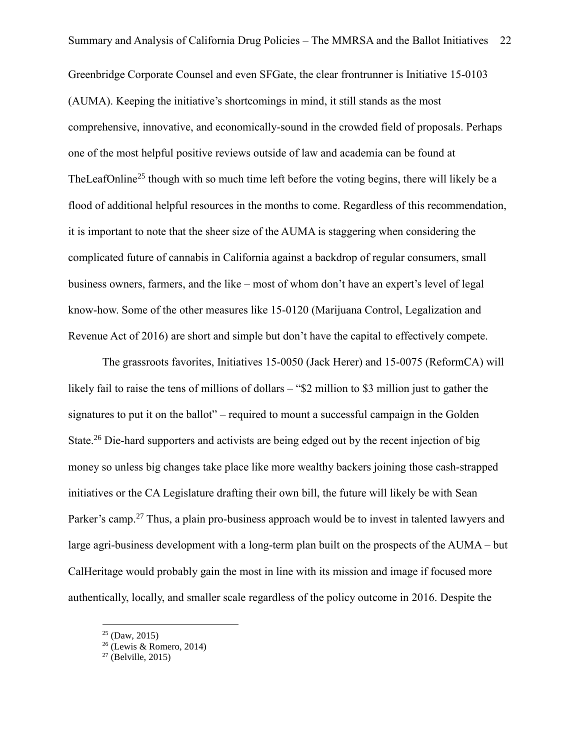Greenbridge Corporate Counsel and even SFGate, the clear frontrunner is Initiative 15-0103 (AUMA). Keeping the initiative's shortcomings in mind, it still stands as the most comprehensive, innovative, and economically-sound in the crowded field of proposals. Perhaps one of the most helpful positive reviews outside of law and academia can be found at TheLeafOnline<sup>25</sup> though with so much time left before the voting begins, there will likely be a flood of additional helpful resources in the months to come. Regardless of this recommendation, it is important to note that the sheer size of the AUMA is staggering when considering the complicated future of cannabis in California against a backdrop of regular consumers, small business owners, farmers, and the like – most of whom don't have an expert's level of legal know-how. Some of the other measures like 15-0120 (Marijuana Control, Legalization and Revenue Act of 2016) are short and simple but don't have the capital to effectively compete.

The grassroots favorites, Initiatives 15-0050 (Jack Herer) and 15-0075 (ReformCA) will likely fail to raise the tens of millions of dollars – "\$2 million to \$3 million just to gather the signatures to put it on the ballot" – required to mount a successful campaign in the Golden State.<sup>26</sup> Die-hard supporters and activists are being edged out by the recent injection of big money so unless big changes take place like more wealthy backers joining those cash-strapped initiatives or the CA Legislature drafting their own bill, the future will likely be with Sean Parker's camp.<sup>27</sup> Thus, a plain pro-business approach would be to invest in talented lawyers and large agri-business development with a long-term plan built on the prospects of the AUMA – but CalHeritage would probably gain the most in line with its mission and image if focused more authentically, locally, and smaller scale regardless of the policy outcome in 2016. Despite the

 $25$  (Daw, 2015)

 $26$  (Lewis & Romero, 2014)

 $27$  (Belville, 2015)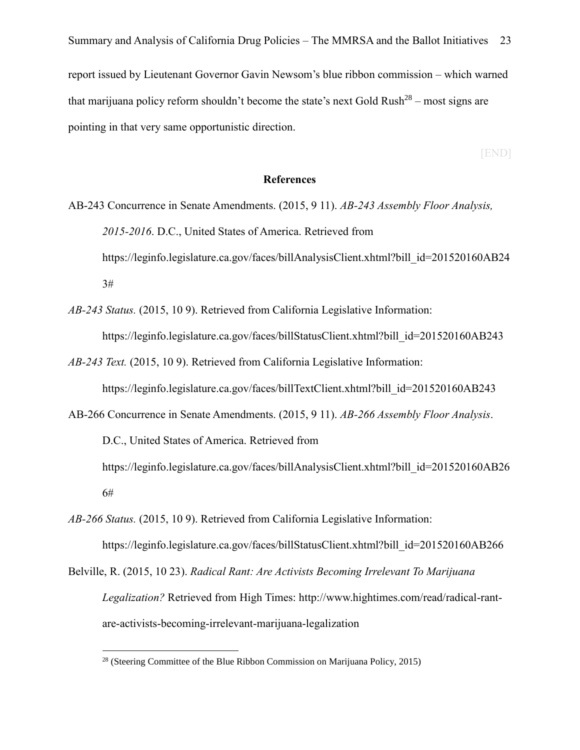that marijuana policy reform shouldn't become the state's next Gold Rush<sup>28</sup> – most signs are pointing in that very same opportunistic direction.

[END]

#### **References**

- AB-243 Concurrence in Senate Amendments. (2015, 9 11). *AB-243 Assembly Floor Analysis, 2015-2016*. D.C., United States of America. Retrieved from https://leginfo.legislature.ca.gov/faces/billAnalysisClient.xhtml?bill\_id=201520160AB24 3#
- *AB-243 Status.* (2015, 10 9). Retrieved from California Legislative Information: https://leginfo.legislature.ca.gov/faces/billStatusClient.xhtml?bill\_id=201520160AB243
- *AB-243 Text.* (2015, 10 9). Retrieved from California Legislative Information:

https://leginfo.legislature.ca.gov/faces/billTextClient.xhtml?bill\_id=201520160AB243

- AB-266 Concurrence in Senate Amendments. (2015, 9 11). *AB-266 Assembly Floor Analysis*. D.C., United States of America. Retrieved from https://leginfo.legislature.ca.gov/faces/billAnalysisClient.xhtml?bill\_id=201520160AB26 6#
- *AB-266 Status.* (2015, 10 9). Retrieved from California Legislative Information: https://leginfo.legislature.ca.gov/faces/billStatusClient.xhtml?bill\_id=201520160AB266
- Belville, R. (2015, 10 23). *Radical Rant: Are Activists Becoming Irrelevant To Marijuana Legalization?* Retrieved from High Times: http://www.hightimes.com/read/radical-rantare-activists-becoming-irrelevant-marijuana-legalization

 $\overline{a}$ <sup>28</sup> (Steering Committee of the Blue Ribbon Commission on Marijuana Policy, 2015)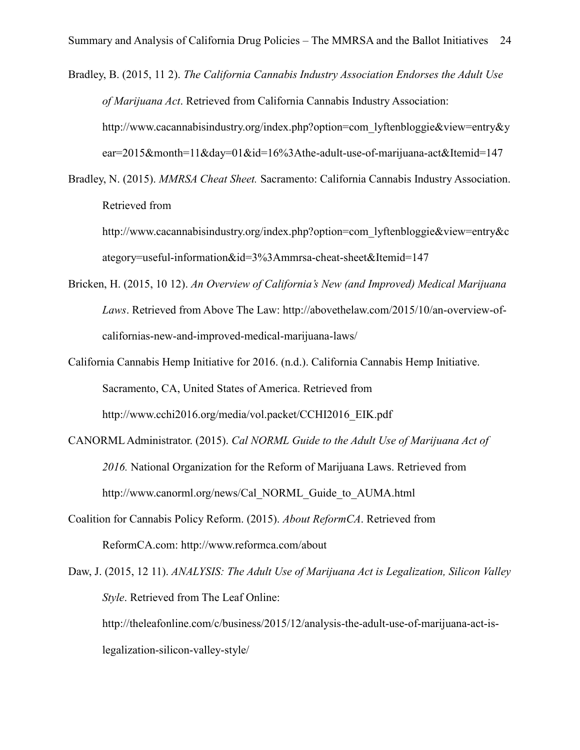Bradley, B. (2015, 11 2). *The California Cannabis Industry Association Endorses the Adult Use of Marijuana Act*. Retrieved from California Cannabis Industry Association: http://www.cacannabisindustry.org/index.php?option=com\_lyftenbloggie&view=entry&y ear=2015&month=11&day=01&id=16%3Athe-adult-use-of-marijuana-act&Itemid=147

Bradley, N. (2015). *MMRSA Cheat Sheet.* Sacramento: California Cannabis Industry Association. Retrieved from

http://www.cacannabisindustry.org/index.php?option=com\_lyftenbloggie&view=entry&c ategory=useful-information&id=3%3Ammrsa-cheat-sheet&Itemid=147

- Bricken, H. (2015, 10 12). *An Overview of California's New (and Improved) Medical Marijuana Laws*. Retrieved from Above The Law: http://abovethelaw.com/2015/10/an-overview-ofcalifornias-new-and-improved-medical-marijuana-laws/
- California Cannabis Hemp Initiative for 2016. (n.d.). California Cannabis Hemp Initiative. Sacramento, CA, United States of America. Retrieved from http://www.cchi2016.org/media/vol.packet/CCHI2016\_EIK.pdf
- CANORML Administrator. (2015). *Cal NORML Guide to the Adult Use of Marijuana Act of 2016.* National Organization for the Reform of Marijuana Laws. Retrieved from http://www.canorml.org/news/Cal\_NORML\_Guide\_to\_AUMA.html
- Coalition for Cannabis Policy Reform. (2015). *About ReformCA*. Retrieved from ReformCA.com: http://www.reformca.com/about

Daw, J. (2015, 12 11). *ANALYSIS: The Adult Use of Marijuana Act is Legalization, Silicon Valley Style*. Retrieved from The Leaf Online: http://theleafonline.com/c/business/2015/12/analysis-the-adult-use-of-marijuana-act-islegalization-silicon-valley-style/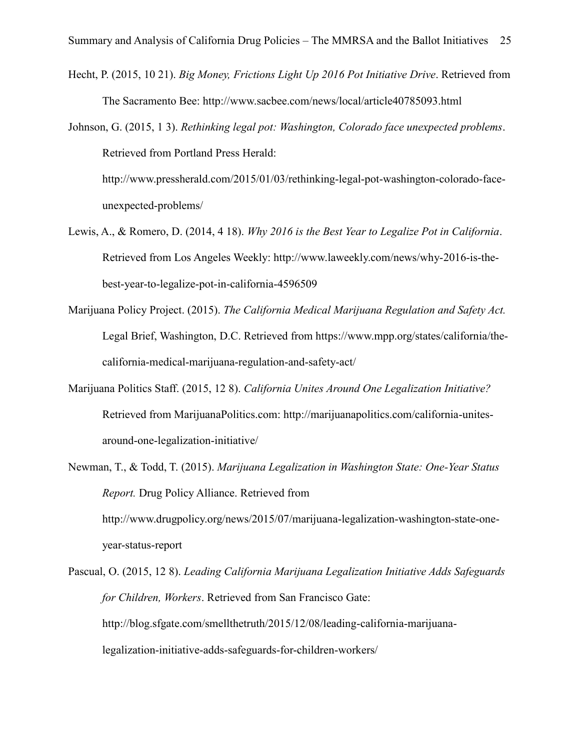- Hecht, P. (2015, 10 21). *Big Money, Frictions Light Up 2016 Pot Initiative Drive*. Retrieved from The Sacramento Bee: http://www.sacbee.com/news/local/article40785093.html
- Johnson, G. (2015, 1 3). *Rethinking legal pot: Washington, Colorado face unexpected problems*. Retrieved from Portland Press Herald:

http://www.pressherald.com/2015/01/03/rethinking-legal-pot-washington-colorado-faceunexpected-problems/

- Lewis, A., & Romero, D. (2014, 4 18). *Why 2016 is the Best Year to Legalize Pot in California*. Retrieved from Los Angeles Weekly: http://www.laweekly.com/news/why-2016-is-thebest-year-to-legalize-pot-in-california-4596509
- Marijuana Policy Project. (2015). *The California Medical Marijuana Regulation and Safety Act.* Legal Brief, Washington, D.C. Retrieved from https://www.mpp.org/states/california/thecalifornia-medical-marijuana-regulation-and-safety-act/
- Marijuana Politics Staff. (2015, 12 8). *California Unites Around One Legalization Initiative?* Retrieved from MarijuanaPolitics.com: http://marijuanapolitics.com/california-unitesaround-one-legalization-initiative/
- Newman, T., & Todd, T. (2015). *Marijuana Legalization in Washington State: One-Year Status Report.* Drug Policy Alliance. Retrieved from http://www.drugpolicy.org/news/2015/07/marijuana-legalization-washington-state-oneyear-status-report
- Pascual, O. (2015, 12 8). *Leading California Marijuana Legalization Initiative Adds Safeguards for Children, Workers*. Retrieved from San Francisco Gate: http://blog.sfgate.com/smellthetruth/2015/12/08/leading-california-marijuanalegalization-initiative-adds-safeguards-for-children-workers/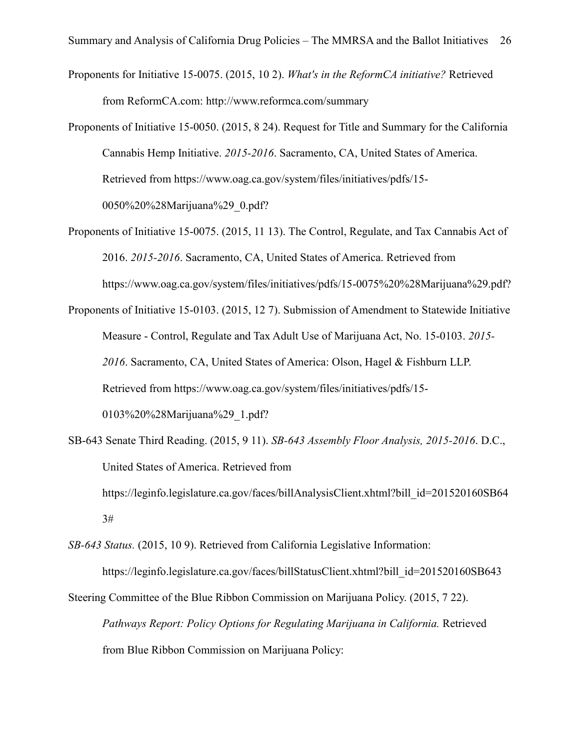- Proponents for Initiative 15-0075. (2015, 10 2). *What's in the ReformCA initiative?* Retrieved from ReformCA.com: http://www.reformca.com/summary
- Proponents of Initiative 15-0050. (2015, 8 24). Request for Title and Summary for the California Cannabis Hemp Initiative. *2015-2016*. Sacramento, CA, United States of America. Retrieved from https://www.oag.ca.gov/system/files/initiatives/pdfs/15- 0050%20%28Marijuana%29\_0.pdf?
- Proponents of Initiative 15-0075. (2015, 11 13). The Control, Regulate, and Tax Cannabis Act of 2016. *2015-2016*. Sacramento, CA, United States of America. Retrieved from https://www.oag.ca.gov/system/files/initiatives/pdfs/15-0075%20%28Marijuana%29.pdf?
- Proponents of Initiative 15-0103. (2015, 12 7). Submission of Amendment to Statewide Initiative Measure - Control, Regulate and Tax Adult Use of Marijuana Act, No. 15-0103. *2015- 2016*. Sacramento, CA, United States of America: Olson, Hagel & Fishburn LLP. Retrieved from https://www.oag.ca.gov/system/files/initiatives/pdfs/15- 0103%20%28Marijuana%29\_1.pdf?
- SB-643 Senate Third Reading. (2015, 9 11). *SB-643 Assembly Floor Analysis, 2015-2016*. D.C., United States of America. Retrieved from https://leginfo.legislature.ca.gov/faces/billAnalysisClient.xhtml?bill\_id=201520160SB64 3#
- *SB-643 Status.* (2015, 10 9). Retrieved from California Legislative Information: https://leginfo.legislature.ca.gov/faces/billStatusClient.xhtml?bill\_id=201520160SB643
- Steering Committee of the Blue Ribbon Commission on Marijuana Policy. (2015, 7 22). *Pathways Report: Policy Options for Regulating Marijuana in California.* Retrieved from Blue Ribbon Commission on Marijuana Policy: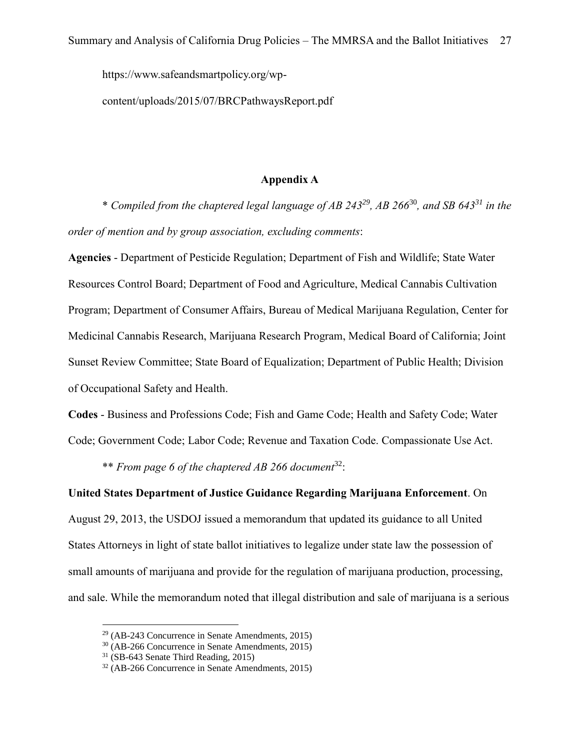https://www.safeandsmartpolicy.org/wp-

content/uploads/2015/07/BRCPathwaysReport.pdf

#### **Appendix A**

\* *Compiled from the chaptered legal language of AB 243<sup>29</sup>, AB 266*<sup>30</sup>*, and SB 643<sup>31</sup> in the order of mention and by group association, excluding comments*:

**Agencies** - Department of Pesticide Regulation; Department of Fish and Wildlife; State Water Resources Control Board; Department of Food and Agriculture, Medical Cannabis Cultivation Program; Department of Consumer Affairs, Bureau of Medical Marijuana Regulation, Center for Medicinal Cannabis Research, Marijuana Research Program, Medical Board of California; Joint Sunset Review Committee; State Board of Equalization; Department of Public Health; Division of Occupational Safety and Health.

**Codes** - Business and Professions Code; Fish and Game Code; Health and Safety Code; Water

Code; Government Code; Labor Code; Revenue and Taxation Code. Compassionate Use Act.

\*\* *From page 6 of the chaptered AB 266 document*<sup>32</sup>:

**United States Department of Justice Guidance Regarding Marijuana Enforcement**. On August 29, 2013, the USDOJ issued a memorandum that updated its guidance to all United States Attorneys in light of state ballot initiatives to legalize under state law the possession of small amounts of marijuana and provide for the regulation of marijuana production, processing, and sale. While the memorandum noted that illegal distribution and sale of marijuana is a serious

 $29$  (AB-243 Concurrence in Senate Amendments, 2015)

<sup>30</sup> (AB-266 Concurrence in Senate Amendments, 2015)

<sup>31</sup> (SB-643 Senate Third Reading, 2015)

<sup>32</sup> (AB-266 Concurrence in Senate Amendments, 2015)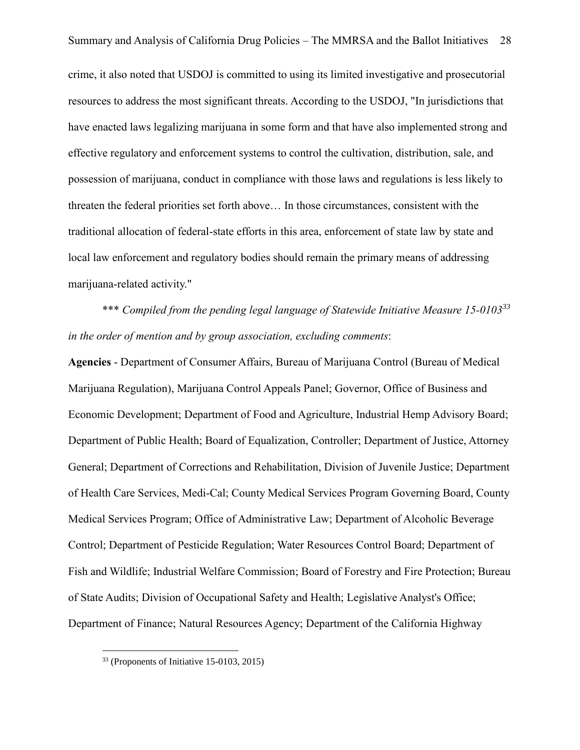crime, it also noted that USDOJ is committed to using its limited investigative and prosecutorial resources to address the most significant threats. According to the USDOJ, "In jurisdictions that have enacted laws legalizing marijuana in some form and that have also implemented strong and effective regulatory and enforcement systems to control the cultivation, distribution, sale, and possession of marijuana, conduct in compliance with those laws and regulations is less likely to threaten the federal priorities set forth above… In those circumstances, consistent with the traditional allocation of federal-state efforts in this area, enforcement of state law by state and local law enforcement and regulatory bodies should remain the primary means of addressing marijuana-related activity."

\*\*\* *Compiled from the pending legal language of Statewide Initiative Measure 15-0103<sup>33</sup> in the order of mention and by group association, excluding comments*:

**Agencies** - Department of Consumer Affairs, Bureau of Marijuana Control (Bureau of Medical Marijuana Regulation), Marijuana Control Appeals Panel; Governor, Office of Business and Economic Development; Department of Food and Agriculture, Industrial Hemp Advisory Board; Department of Public Health; Board of Equalization, Controller; Department of Justice, Attorney General; Department of Corrections and Rehabilitation, Division of Juvenile Justice; Department of Health Care Services, Medi-Cal; County Medical Services Program Governing Board, County Medical Services Program; Office of Administrative Law; Department of Alcoholic Beverage Control; Department of Pesticide Regulation; Water Resources Control Board; Department of Fish and Wildlife; Industrial Welfare Commission; Board of Forestry and Fire Protection; Bureau of State Audits; Division of Occupational Safety and Health; Legislative Analyst's Office; Department of Finance; Natural Resources Agency; Department of the California Highway

<sup>33</sup> (Proponents of Initiative 15-0103, 2015)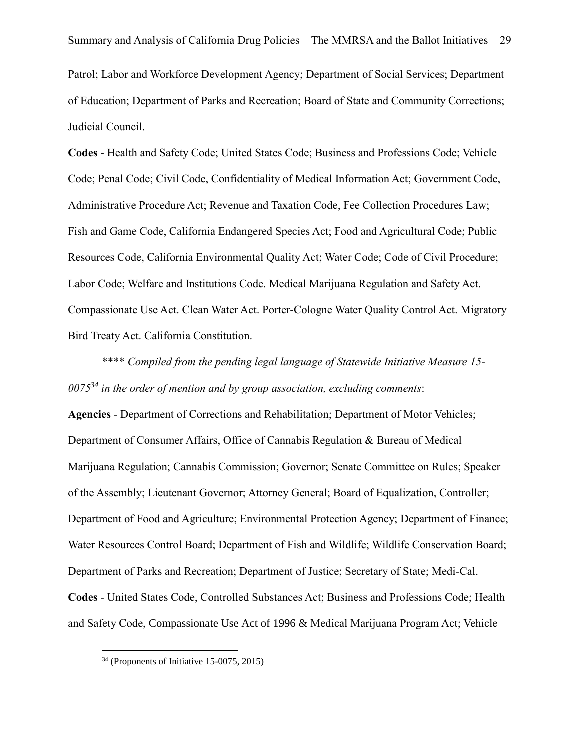Patrol; Labor and Workforce Development Agency; Department of Social Services; Department of Education; Department of Parks and Recreation; Board of State and Community Corrections; Judicial Council.

**Codes** - Health and Safety Code; United States Code; Business and Professions Code; Vehicle Code; Penal Code; Civil Code, Confidentiality of Medical Information Act; Government Code, Administrative Procedure Act; Revenue and Taxation Code, Fee Collection Procedures Law; Fish and Game Code, California Endangered Species Act; Food and Agricultural Code; Public Resources Code, California Environmental Quality Act; Water Code; Code of Civil Procedure; Labor Code; Welfare and Institutions Code. Medical Marijuana Regulation and Safety Act. Compassionate Use Act. Clean Water Act. Porter-Cologne Water Quality Control Act. Migratory Bird Treaty Act. California Constitution.

\*\*\*\* *Compiled from the pending legal language of Statewide Initiative Measure 15- 0075<sup>34</sup> in the order of mention and by group association, excluding comments*:

**Agencies** - Department of Corrections and Rehabilitation; Department of Motor Vehicles; Department of Consumer Affairs, Office of Cannabis Regulation & Bureau of Medical Marijuana Regulation; Cannabis Commission; Governor; Senate Committee on Rules; Speaker of the Assembly; Lieutenant Governor; Attorney General; Board of Equalization, Controller; Department of Food and Agriculture; Environmental Protection Agency; Department of Finance; Water Resources Control Board; Department of Fish and Wildlife; Wildlife Conservation Board; Department of Parks and Recreation; Department of Justice; Secretary of State; Medi-Cal. **Codes** - United States Code, Controlled Substances Act; Business and Professions Code; Health and Safety Code, Compassionate Use Act of 1996 & Medical Marijuana Program Act; Vehicle

<sup>34</sup> (Proponents of Initiative 15-0075, 2015)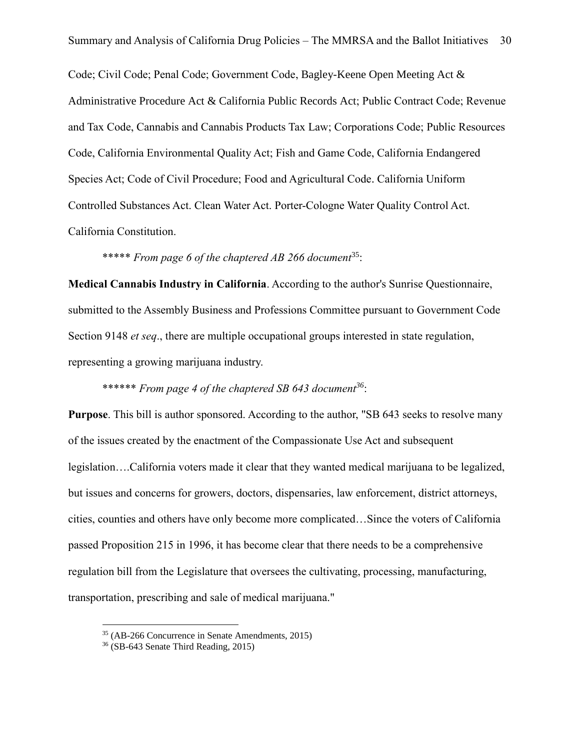Code; Civil Code; Penal Code; Government Code, Bagley-Keene Open Meeting Act & Administrative Procedure Act & California Public Records Act; Public Contract Code; Revenue and Tax Code, Cannabis and Cannabis Products Tax Law; Corporations Code; Public Resources Code, California Environmental Quality Act; Fish and Game Code, California Endangered Species Act; Code of Civil Procedure; Food and Agricultural Code. California Uniform Controlled Substances Act. Clean Water Act. Porter-Cologne Water Quality Control Act. California Constitution.

\*\*\*\*\* *From page 6 of the chaptered AB 266 document*<sup>35</sup>:

**Medical Cannabis Industry in California**. According to the author's Sunrise Questionnaire, submitted to the Assembly Business and Professions Committee pursuant to Government Code Section 9148 *et seq*., there are multiple occupational groups interested in state regulation, representing a growing marijuana industry.

\*\*\*\*\*\* *From page 4 of the chaptered SB 643 document<sup>36</sup>*:

**Purpose**. This bill is author sponsored. According to the author, "SB 643 seeks to resolve many of the issues created by the enactment of the Compassionate Use Act and subsequent legislation….California voters made it clear that they wanted medical marijuana to be legalized, but issues and concerns for growers, doctors, dispensaries, law enforcement, district attorneys, cities, counties and others have only become more complicated…Since the voters of California passed Proposition 215 in 1996, it has become clear that there needs to be a comprehensive regulation bill from the Legislature that oversees the cultivating, processing, manufacturing, transportation, prescribing and sale of medical marijuana."

<sup>35</sup> (AB-266 Concurrence in Senate Amendments, 2015)

<sup>36</sup> (SB-643 Senate Third Reading, 2015)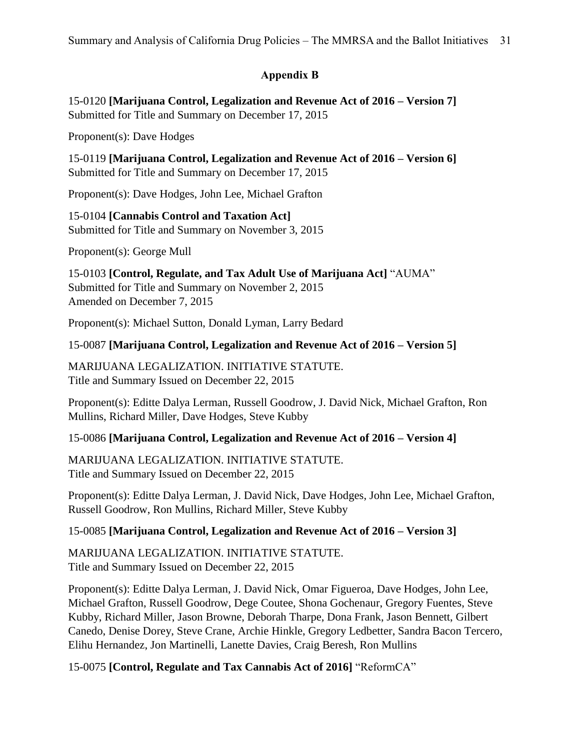# **Appendix B**

15-0120 **[Marijuana Control, Legalization and Revenue Act of 2016 – Version 7]** Submitted for Title and Summary on December 17, 2015

Proponent(s): Dave Hodges

15-0119 **[Marijuana Control, Legalization and Revenue Act of 2016 – Version 6]** Submitted for Title and Summary on December 17, 2015

Proponent(s): Dave Hodges, John Lee, Michael Grafton

15-0104 **[Cannabis Control and Taxation Act]** Submitted for Title and Summary on November 3, 2015

Proponent(s): George Mull

15-0103 **[Control, Regulate, and Tax Adult Use of Marijuana Act]** "AUMA" Submitted for Title and Summary on November 2, 2015 Amended on December 7, 2015

Proponent(s): Michael Sutton, Donald Lyman, Larry Bedard

# 15-0087 **[Marijuana Control, Legalization and Revenue Act of 2016 – Version 5]**

MARIJUANA LEGALIZATION. INITIATIVE STATUTE. Title and Summary Issued on December 22, 2015

Proponent(s): Editte Dalya Lerman, Russell Goodrow, J. David Nick, Michael Grafton, Ron Mullins, Richard Miller, Dave Hodges, Steve Kubby

## 15-0086 **[Marijuana Control, Legalization and Revenue Act of 2016 – Version 4]**

MARIJUANA LEGALIZATION. INITIATIVE STATUTE. Title and Summary Issued on December 22, 2015

Proponent(s): Editte Dalya Lerman, J. David Nick, Dave Hodges, John Lee, Michael Grafton, Russell Goodrow, Ron Mullins, Richard Miller, Steve Kubby

# 15-0085 **[Marijuana Control, Legalization and Revenue Act of 2016 – Version 3]**

MARIJUANA LEGALIZATION. INITIATIVE STATUTE. Title and Summary Issued on December 22, 2015

Proponent(s): Editte Dalya Lerman, J. David Nick, Omar Figueroa, Dave Hodges, John Lee, Michael Grafton, Russell Goodrow, Dege Coutee, Shona Gochenaur, Gregory Fuentes, Steve Kubby, Richard Miller, Jason Browne, Deborah Tharpe, Dona Frank, Jason Bennett, Gilbert Canedo, Denise Dorey, Steve Crane, Archie Hinkle, Gregory Ledbetter, Sandra Bacon Tercero, Elihu Hernandez, Jon Martinelli, Lanette Davies, Craig Beresh, Ron Mullins

15-0075 **[Control, Regulate and Tax Cannabis Act of 2016]** "ReformCA"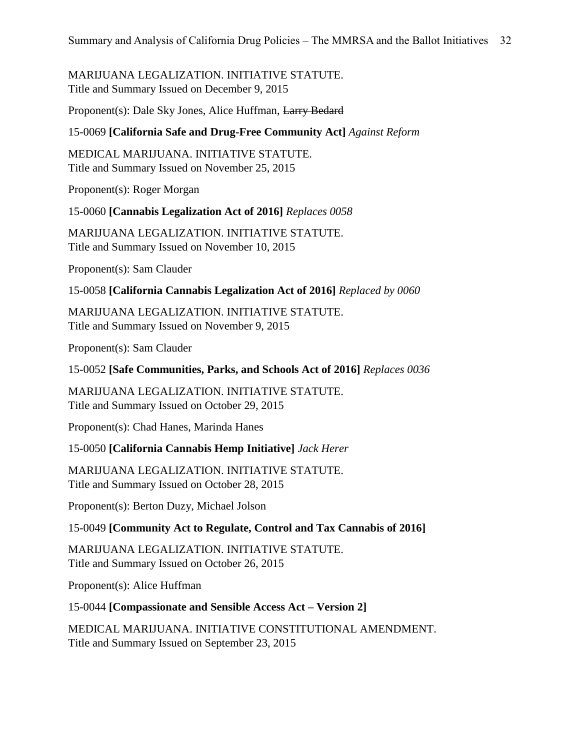## MARIJUANA LEGALIZATION. INITIATIVE STATUTE. Title and Summary Issued on December 9, 2015

Proponent(s): Dale Sky Jones, Alice Huffman, Larry Bedard

#### 15-0069 **[California Safe and Drug-Free Community Act]** *Against Reform*

MEDICAL MARIJUANA. INITIATIVE STATUTE. Title and Summary Issued on November 25, 2015

Proponent(s): Roger Morgan

15-0060 **[Cannabis Legalization Act of 2016]** *Replaces 0058*

MARIJUANA LEGALIZATION. INITIATIVE STATUTE. Title and Summary Issued on November 10, 2015

Proponent(s): Sam Clauder

15-0058 **[California Cannabis Legalization Act of 2016]** *Replaced by 0060*

MARIJUANA LEGALIZATION. INITIATIVE STATUTE. Title and Summary Issued on November 9, 2015

Proponent(s): Sam Clauder

15-0052 **[Safe Communities, Parks, and Schools Act of 2016]** *Replaces 0036*

MARIJUANA LEGALIZATION. INITIATIVE STATUTE. Title and Summary Issued on October 29, 2015

Proponent(s): Chad Hanes, Marinda Hanes

15-0050 **[California Cannabis Hemp Initiative]** *Jack Herer*

MARIJUANA LEGALIZATION. INITIATIVE STATUTE. Title and Summary Issued on October 28, 2015

Proponent(s): Berton Duzy, Michael Jolson

## 15-0049 **[Community Act to Regulate, Control and Tax Cannabis of 2016]**

MARIJUANA LEGALIZATION. INITIATIVE STATUTE. Title and Summary Issued on October 26, 2015

Proponent(s): Alice Huffman

15-0044 **[Compassionate and Sensible Access Act – Version 2]**

MEDICAL MARIJUANA. INITIATIVE CONSTITUTIONAL AMENDMENT. Title and Summary Issued on September 23, 2015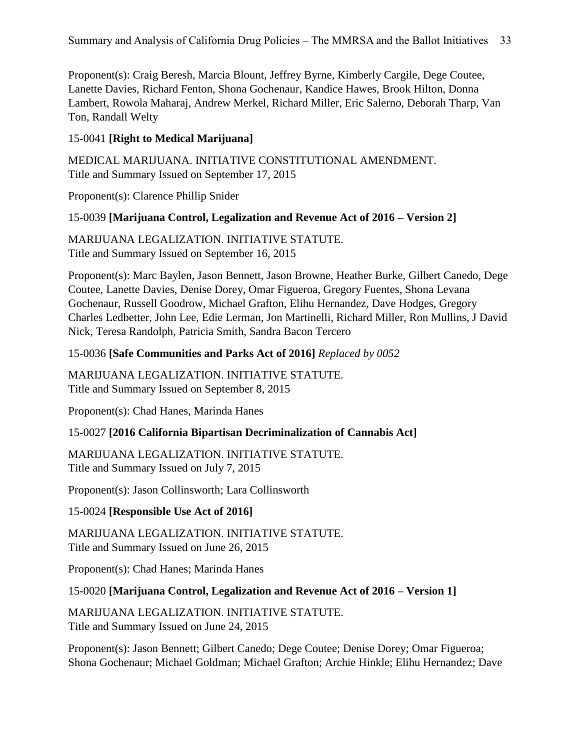Proponent(s): Craig Beresh, Marcia Blount, Jeffrey Byrne, Kimberly Cargile, Dege Coutee, Lanette Davies, Richard Fenton, Shona Gochenaur, Kandice Hawes, Brook Hilton, Donna Lambert, Rowola Maharaj, Andrew Merkel, Richard Miller, Eric Salerno, Deborah Tharp, Van Ton, Randall Welty

## 15-0041 **[Right to Medical Marijuana]**

MEDICAL MARIJUANA. INITIATIVE CONSTITUTIONAL AMENDMENT. Title and Summary Issued on September 17, 2015

Proponent(s): Clarence Phillip Snider

## 15-0039 **[Marijuana Control, Legalization and Revenue Act of 2016 – Version 2]**

MARIJUANA LEGALIZATION. INITIATIVE STATUTE. Title and Summary Issued on September 16, 2015

Proponent(s): Marc Baylen, Jason Bennett, Jason Browne, Heather Burke, Gilbert Canedo, Dege Coutee, Lanette Davies, Denise Dorey, Omar Figueroa, Gregory Fuentes, Shona Levana Gochenaur, Russell Goodrow, Michael Grafton, Elihu Hernandez, Dave Hodges, Gregory Charles Ledbetter, John Lee, Edie Lerman, Jon Martinelli, Richard Miller, Ron Mullins, J David Nick, Teresa Randolph, Patricia Smith, Sandra Bacon Tercero

#### 15-0036 **[Safe Communities and Parks Act of 2016]** *Replaced by 0052*

MARIJUANA LEGALIZATION. INITIATIVE STATUTE. Title and Summary Issued on September 8, 2015

Proponent(s): Chad Hanes, Marinda Hanes

## 15-0027 **[2016 California Bipartisan Decriminalization of Cannabis Act]**

MARIJUANA LEGALIZATION. INITIATIVE STATUTE. Title and Summary Issued on July 7, 2015

Proponent(s): Jason Collinsworth; Lara Collinsworth

## 15-0024 **[Responsible Use Act of 2016]**

MARIJUANA LEGALIZATION. INITIATIVE STATUTE. Title and Summary Issued on June 26, 2015

Proponent(s): Chad Hanes; Marinda Hanes

## 15-0020 **[Marijuana Control, Legalization and Revenue Act of 2016 – Version 1]**

MARIJUANA LEGALIZATION. INITIATIVE STATUTE. Title and Summary Issued on June 24, 2015

Proponent(s): Jason Bennett; Gilbert Canedo; Dege Coutee; Denise Dorey; Omar Figueroa; Shona Gochenaur; Michael Goldman; Michael Grafton; Archie Hinkle; Elihu Hernandez; Dave